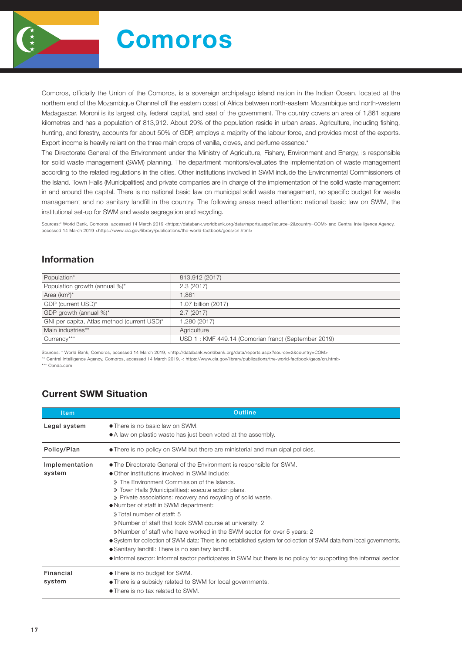

# Comoros

Comoros, officially the Union of the Comoros, is a sovereign archipelago island nation in the Indian Ocean, located at the northern end of the Mozambique Channel off the eastern coast of Africa between north-eastern Mozambique and north-western Madagascar. Moroni is its largest city, federal capital, and seat of the government. The country covers an area of 1,861 square kilometres and has a population of 813,912. About 29% of the population reside in urban areas. Agriculture, including fishing, hunting, and forestry, accounts for about 50% of GDP, employs a majority of the labour force, and provides most of the exports. Export income is heavily reliant on the three main crops of vanilla, cloves, and perfume essence.\*

The Directorate General of the Environment under the Ministry of Agriculture, Fishery, Environment and Energy, is responsible for solid waste management (SWM) planning. The department monitors/evaluates the implementation of waste management according to the related regulations in the cities. Other institutions involved in SWM include the Environmental Commissioners of the Island. Town Halls (Municipalities) and private companies are in charge of the implementation of the solid waste management in and around the capital. There is no national basic law on municipal solid waste management, no specific budget for waste management and no sanitary landfill in the country. The following areas need attention: national basic law on SWM, the institutional set-up for SWM and waste segregation and recycling.

Sources:\* World Bank, Comoros, accessed 14 March 2019 <https://databank.worldbank.org/data/reports.aspx?source=2&country=COM> and Central Intelligence Agency, accessed 14 March 2019 <https://www.cia.gov/library/publications/the-world-factbook/geos/cn.html>

#### Information

| 813,912 (2017)                                      |
|-----------------------------------------------------|
| 2.3(2017)                                           |
| 1.861                                               |
| 1.07 billion (2017)                                 |
| 2.7(2017)                                           |
| 1,280 (2017)                                        |
| Agriculture                                         |
| USD 1: KMF 449.14 (Comorian franc) (September 2019) |
|                                                     |

Sources: \* World Bank, Comoros, accessed 14 March 2019, <http://databank.worldbank.org/data/reports.aspx?source=2&country=COM>

\*\* Central Intelligence Agency, Comoros, accessed 14 March 2019, < https://www.cia.gov/library/publications/the-world-factbook/geos/cn.html>

\*\*\* Oanda.com

## Current SWM Situation

| <b>Item</b>                | Outline                                                                                                                                                                                                                                                                                                                                                                                                                                                                                                                                                                                                                                                                                                                                                                                                           |  |  |  |  |  |
|----------------------------|-------------------------------------------------------------------------------------------------------------------------------------------------------------------------------------------------------------------------------------------------------------------------------------------------------------------------------------------------------------------------------------------------------------------------------------------------------------------------------------------------------------------------------------------------------------------------------------------------------------------------------------------------------------------------------------------------------------------------------------------------------------------------------------------------------------------|--|--|--|--|--|
| Legal system               | • There is no basic law on SWM.<br>• A law on plastic waste has just been voted at the assembly.                                                                                                                                                                                                                                                                                                                                                                                                                                                                                                                                                                                                                                                                                                                  |  |  |  |  |  |
| Policy/Plan                | • There is no policy on SWM but there are ministerial and municipal policies.                                                                                                                                                                                                                                                                                                                                                                                                                                                                                                                                                                                                                                                                                                                                     |  |  |  |  |  |
| Implementation<br>system   | • The Directorate General of the Environment is responsible for SWM.<br>• Other institutions involved in SWM include:<br>» The Environment Commission of the Islands.<br>» Town Halls (Municipalities): execute action plans.<br>» Private associations: recovery and recycling of solid waste.<br>• Number of staff in SWM department:<br>» Total number of staff: 5<br>» Number of staff that took SWM course at university: 2<br>» Number of staff who have worked in the SWM sector for over 5 years: 2<br>• System for collection of SWM data: There is no established system for collection of SWM data from local governments.<br>• Sanitary landfill: There is no sanitary landfill.<br>• Informal sector: Informal sector participates in SWM but there is no policy for supporting the informal sector. |  |  |  |  |  |
| <b>Financial</b><br>system | • There is no budget for SWM.<br>• There is a subsidy related to SWM for local governments.<br>• There is no tax related to SWM.                                                                                                                                                                                                                                                                                                                                                                                                                                                                                                                                                                                                                                                                                  |  |  |  |  |  |